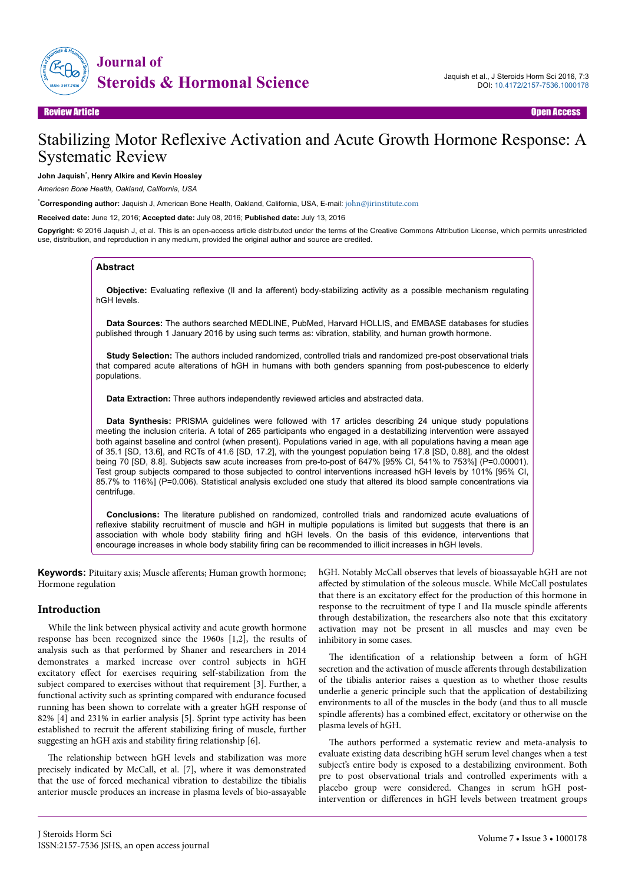

# Stabilizing Motor Reflexive Activation and Acute Growth Hormone Response: A Systematic Review

#### **John Jaquish**\* **, Henry Alkire and Kevin Hoesley**

*American Bone Health, Oakland, California, USA*

\***Corresponding author:** Jaquish J, American Bone Health, Oakland, California, USA, E-mail: [john@jirinstitute.com](mailto:john@jirinstitute.com)

**Received date:** June 12, 2016; **Accepted date:** July 08, 2016; **Published date:** July 13, 2016

**Copyright:** © 2016 Jaquish J, et al. This is an open-access article distributed under the terms of the Creative Commons Attribution License, which permits unrestricted use, distribution, and reproduction in any medium, provided the original author and source are credited.

#### **Abstract**

**Objective:** Evaluating reflexive (Il and Ia afferent) body-stabilizing activity as a possible mechanism regulating hGH levels.

**Data Sources:** The authors searched MEDLINE, PubMed, Harvard HOLLIS, and EMBASE databases for studies published through 1 January 2016 by using such terms as: vibration, stability, and human growth hormone.

**Study Selection:** The authors included randomized, controlled trials and randomized pre-post observational trials that compared acute alterations of hGH in humans with both genders spanning from post-pubescence to elderly populations.

**Data Extraction:** Three authors independently reviewed articles and abstracted data.

**Data Synthesis:** PRISMA guidelines were followed with 17 articles describing 24 unique study populations meeting the inclusion criteria. A total of 265 participants who engaged in a destabilizing intervention were assayed both against baseline and control (when present). Populations varied in age, with all populations having a mean age of 35.1 [SD, 13.6], and RCTs of 41.6 [SD, 17.2], with the youngest population being 17.8 [SD, 0.88], and the oldest being 70 [SD, 8.8]. Subjects saw acute increases from pre-to-post of 647% [95% CI, 541% to 753%] (P=0.00001). Test group subjects compared to those subjected to control interventions increased hGH levels by 101% [95% CI, 85.7% to 116%] (P=0.006). Statistical analysis excluded one study that altered its blood sample concentrations via centrifuge.

**Conclusions:** The literature published on randomized, controlled trials and randomized acute evaluations of reflexive stability recruitment of muscle and hGH in multiple populations is limited but suggests that there is an association with whole body stability firing and hGH levels. On the basis of this evidence, interventions that encourage increases in whole body stability firing can be recommended to illicit increases in hGH levels.

Keywords: Pituitary axis; Muscle afferents; Human growth hormone; Hormone regulation

#### **Introduction**

While the link between physical activity and acute growth hormone response has been recognized since the 1960s [1,2], the results of analysis such as that performed by Shaner and researchers in 2014 demonstrates a marked increase over control subjects in hGH excitatory effect for exercises requiring self-stabilization from the subject compared to exercises without that requirement [3]. Further, a functional activity such as sprinting compared with endurance focused running has been shown to correlate with a greater hGH response of 82% [4] and 231% in earlier analysis [5]. Sprint type activity has been established to recruit the afferent stabilizing firing of muscle, further suggesting an hGH axis and stability firing relationship [6].

The relationship between hGH levels and stabilization was more precisely indicated by McCall, et al. [7], where it was demonstrated that the use of forced mechanical vibration to destabilize the tibialis anterior muscle produces an increase in plasma levels of bio-assayable hGH. Notably McCall observes that levels of bioassayable hGH are not affected by stimulation of the soleous muscle. While McCall postulates that there is an excitatory effect for the production of this hormone in response to the recruitment of type I and IIa muscle spindle afferents through destabilization, the researchers also note that this excitatory activation may not be present in all muscles and may even be inhibitory in some cases.

The identification of a relationship between a form of hGH secretion and the activation of muscle afferents through destabilization of the tibialis anterior raises a question as to whether those results underlie a generic principle such that the application of destabilizing environments to all of the muscles in the body (and thus to all muscle spindle afferents) has a combined effect, excitatory or otherwise on the plasma levels of hGH.

The authors performed a systematic review and meta-analysis to evaluate existing data describing hGH serum level changes when a test subject's entire body is exposed to a destabilizing environment. Both pre to post observational trials and controlled experiments with a placebo group were considered. Changes in serum hGH postintervention or differences in hGH levels between treatment groups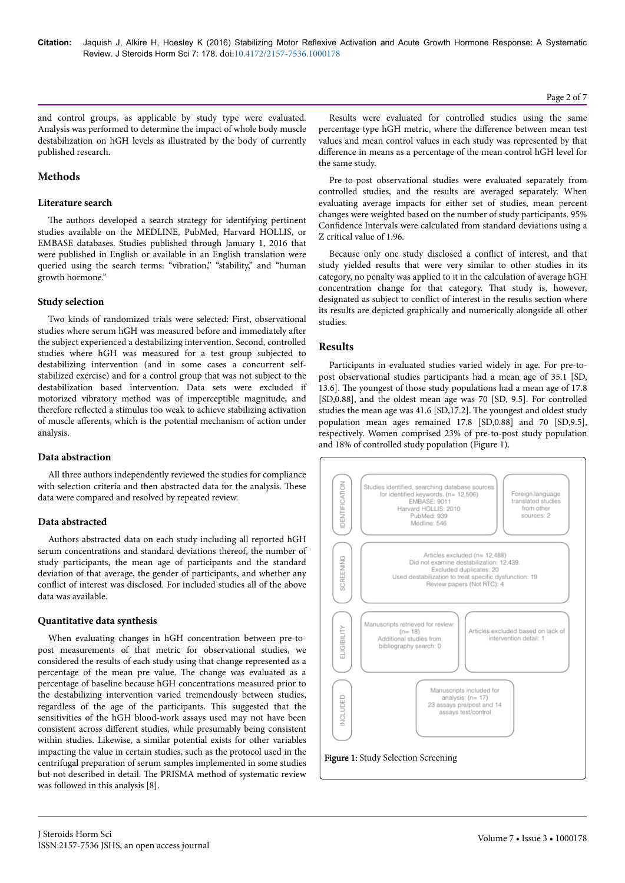and control groups, as applicable by study type were evaluated. Analysis was performed to determine the impact of whole body muscle destabilization on hGH levels as illustrated by the body of currently published research.

# **Methods**

## **Literature search**

The authors developed a search strategy for identifying pertinent studies available on the MEDLINE, PubMed, Harvard HOLLIS, or EMBASE databases. Studies published through January 1, 2016 that were published in English or available in an English translation were queried using the search terms: "vibration," "stability," and "human growth hormone."

## **Study selection**

Two kinds of randomized trials were selected: First, observational studies where serum hGH was measured before and immediately after the subject experienced a destabilizing intervention. Second, controlled studies where hGH was measured for a test group subjected to destabilizing intervention (and in some cases a concurrent selfstabilized exercise) and for a control group that was not subject to the destabilization based intervention. Data sets were excluded if motorized vibratory method was of imperceptible magnitude, and therefore reflected a stimulus too weak to achieve stabilizing activation of muscle afferents, which is the potential mechanism of action under analysis.

#### **Data abstraction**

All three authors independently reviewed the studies for compliance with selection criteria and then abstracted data for the analysis. Нese data were compared and resolved by repeated review.

## **Data abstracted**

Authors abstracted data on each study including all reported hGH serum concentrations and standard deviations thereof, the number of study participants, the mean age of participants and the standard deviation of that average, the gender of participants, and whether any conflict of interest was disclosed. For included studies all of the above data was available.

#### **Quantitative data synthesis**

When evaluating changes in hGH concentration between pre-topost measurements of that metric for observational studies, we considered the results of each study using that change represented as a percentage of the mean pre value. Нe change was evaluated as a percentage of baseline because hGH concentrations measured prior to the destabilizing intervention varied tremendously between studies, regardless of the age of the participants. Нis suggested that the sensitivities of the hGH blood-work assays used may not have been consistent across different studies, while presumably being consistent within studies. Likewise, a similar potential exists for other variables impacting the value in certain studies, such as the protocol used in the centrifugal preparation of serum samples implemented in some studies but not described in detail. Нe PRISMA method of systematic review was followed in this analysis [8].

Results were evaluated for controlled studies using the same percentage type hGH metric, where the difference between mean test values and mean control values in each study was represented by that difference in means as a percentage of the mean control hGH level for the same study.

Pre-to-post observational studies were evaluated separately from controlled studies, and the results are averaged separately. When evaluating average impacts for either set of studies, mean percent changes were weighted based on the number of study participants. 95% Confidence Intervals were calculated from standard deviations using a Z critical value of 1.96.

Because only one study disclosed a conflict of interest, and that study yielded results that were very similar to other studies in its category, no penalty was applied to it in the calculation of average hGH concentration change for that category. Нat study is, however, designated as subject to conflict of interest in the results section where its results are depicted graphically and numerically alongside all other studies.

# **Results**

Participants in evaluated studies varied widely in age. For pre-topost observational studies participants had a mean age of 35.1 [SD, 13.6]. Нe youngest of those study populations had a mean age of 17.8 [SD,0.88], and the oldest mean age was 70 [SD, 9.5]. For controlled studies the mean age was 41.6 [SD,17.2]. Нe youngest and oldest study population mean ages remained 17.8 [SD,0.88] and 70 [SD,9.5], respectively. Women comprised 23% of pre-to-post study population and 18% of controlled study population (Figure 1).



Page 2 of 7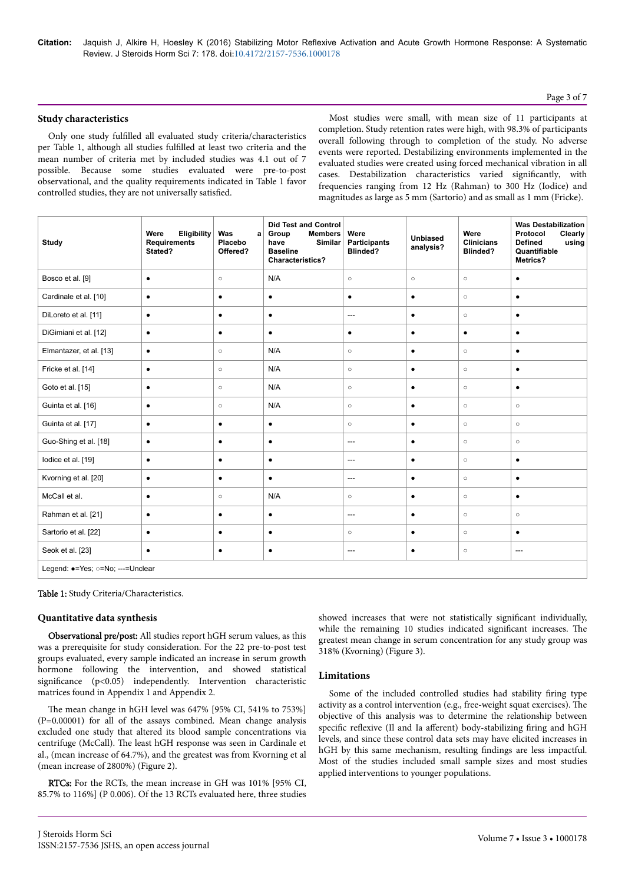## Page 3 of 7

## **Study characteristics**

Only one study fulfilled all evaluated study criteria/characteristics per Table 1, although all studies fulfilled at least two criteria and the mean number of criteria met by included studies was 4.1 out of 7 possible. Because some studies evaluated were pre-to-post observational, and the quality requirements indicated in Table 1 favor controlled studies, they are not universally satisfied

Most studies were small, with mean size of 11 participants at completion. Study retention rates were high, with 98.3% of participants overall following through to completion of the study. No adverse events were reported. Destabilizing environments implemented in the evaluated studies were created using forced mechanical vibration in all cases. Destabilization characteristics varied significantly, with frequencies ranging from 12 Hz (Rahman) to 300 Hz (Iodice) and magnitudes as large as 5 mm (Sartorio) and as small as 1 mm (Fricke).

| Study                             | Were<br>Eligibility<br><b>Requirements</b><br>Stated? | Was<br> a <br>Placebo<br>Offered? | <b>Did Test and Control</b><br>Group<br><b>Members</b><br>Similar<br>have<br><b>Baseline</b><br><b>Characteristics?</b> | Were<br>Participants<br><b>Blinded?</b> | <b>Unbiased</b><br>analysis? | Were<br><b>Clinicians</b><br><b>Blinded?</b> | <b>Was Destabilization</b><br>Protocol<br><b>Clearly</b><br><b>Defined</b><br>using<br>Quantifiable<br>Metrics? |  |  |  |  |
|-----------------------------------|-------------------------------------------------------|-----------------------------------|-------------------------------------------------------------------------------------------------------------------------|-----------------------------------------|------------------------------|----------------------------------------------|-----------------------------------------------------------------------------------------------------------------|--|--|--|--|
| Bosco et al. [9]                  | $\bullet$                                             | $\circ$                           | N/A                                                                                                                     | $\circ$                                 | $\circ$                      | $\circ$                                      | $\bullet$                                                                                                       |  |  |  |  |
| Cardinale et al. [10]             | $\bullet$                                             | $\bullet$                         | $\bullet$                                                                                                               | $\bullet$                               | $\bullet$                    | $\circ$                                      | $\bullet$                                                                                                       |  |  |  |  |
| DiLoreto et al. [11]              | $\bullet$                                             | $\bullet$                         | $\bullet$                                                                                                               | $\cdots$                                | $\bullet$                    | $\circ$                                      | $\bullet$                                                                                                       |  |  |  |  |
| DiGimiani et al. [12]             | $\bullet$                                             | $\bullet$                         | $\bullet$                                                                                                               | $\bullet$                               | $\bullet$                    | $\bullet$                                    | $\bullet$                                                                                                       |  |  |  |  |
| Elmantazer, et al. [13]           | $\bullet$                                             | $\circ$                           | N/A                                                                                                                     | $\circ$                                 | $\bullet$                    | $\circ$                                      | $\bullet$                                                                                                       |  |  |  |  |
| Fricke et al. [14]                | $\bullet$                                             | $\circ$                           | N/A                                                                                                                     | $\circ$                                 | $\bullet$                    | $\circ$                                      | $\bullet$                                                                                                       |  |  |  |  |
| Goto et al. [15]                  | $\bullet$                                             | $\circ$                           | N/A                                                                                                                     | $\circ$                                 | $\bullet$                    | $\circ$                                      | $\bullet$                                                                                                       |  |  |  |  |
| Guinta et al. [16]                | $\bullet$                                             | $\circ$                           | N/A                                                                                                                     | $\circ$                                 | $\bullet$                    | $\circ$                                      | $\circ$                                                                                                         |  |  |  |  |
| Guinta et al. [17]                | $\bullet$                                             | $\bullet$                         | $\bullet$                                                                                                               | $\circ$                                 | $\bullet$                    | $\circ$                                      | $\circ$                                                                                                         |  |  |  |  |
| Guo-Shing et al. [18]             | $\bullet$                                             | $\bullet$                         | $\bullet$                                                                                                               | $\cdots$                                | $\bullet$                    | $\circ$                                      | $\circ$                                                                                                         |  |  |  |  |
| lodice et al. [19]                | $\bullet$                                             | $\bullet$                         | $\bullet$                                                                                                               | ---                                     | $\bullet$                    | $\circ$                                      | $\bullet$                                                                                                       |  |  |  |  |
| Kvorning et al. [20]              | $\bullet$                                             | $\bullet$                         | $\bullet$                                                                                                               | ---                                     | $\bullet$                    | $\circ$                                      | $\bullet$                                                                                                       |  |  |  |  |
| McCall et al.                     | $\bullet$                                             | $\circ$                           | N/A                                                                                                                     | $\circ$                                 | $\bullet$                    | $\circ$                                      | $\bullet$                                                                                                       |  |  |  |  |
| Rahman et al. [21]                | $\bullet$                                             | $\bullet$                         | $\bullet$                                                                                                               | $\overline{\phantom{a}}$                | $\bullet$                    | $\circ$                                      | $\circ$                                                                                                         |  |  |  |  |
| Sartorio et al. [22]              | $\bullet$                                             | $\bullet$                         | $\bullet$                                                                                                               | $\circ$                                 | $\bullet$                    | $\circ$                                      | $\bullet$                                                                                                       |  |  |  |  |
| Seok et al. [23]                  | $\bullet$                                             | $\bullet$                         | $\bullet$                                                                                                               | $\qquad \qquad \cdots$                  | $\bullet$                    | $\circ$                                      | ---                                                                                                             |  |  |  |  |
| Legend: e=Ves: a=No: ---=Lingleer |                                                       |                                   |                                                                                                                         |                                         |                              |                                              |                                                                                                                 |  |  |  |  |

Legend: ●=Yes; ○=No; ---=Unclear

Table 1: Study Criteria/Characteristics.

#### **Quantitative data synthesis**

Observational pre/post: All studies report hGH serum values, as this was a prerequisite for study consideration. For the 22 pre-to-post test groups evaluated, every sample indicated an increase in serum growth hormone following the intervention, and showed statistical significance (p<0.05) independently. Intervention characteristic matrices found in Appendix 1 and Appendix 2.

The mean change in hGH level was 647% [95% CI, 541% to 753%] (P=0.00001) for all of the assays combined. Mean change analysis excluded one study that altered its blood sample concentrations via centrifuge (McCall). Нe least hGH response was seen in Cardinale et al., (mean increase of 64.7%), and the greatest was from Kvorning et al (mean increase of 2800%) (Figure 2).

RTCs: For the RCTs, the mean increase in GH was 101% [95% CI, 85.7% to 116%] (P 0.006). Of the 13 RCTs evaluated here, three studies

showed increases that were not statistically significant individually, while the remaining 10 studies indicated significant increases. Нe greatest mean change in serum concentration for any study group was 318% (Kvorning) (Figure 3).

#### **Limitations**

Some of the included controlled studies had stability firing type activity as a control intervention (e.g., free-weight squat exercises). Нe objective of this analysis was to determine the relationship between specific reflexive (Il and Ia afferent) body-stabilizing firing and hGH levels, and since these control data sets may have elicited increases in hGH by this same mechanism, resulting findings are less impactful. Most of the studies included small sample sizes and most studies applied interventions to younger populations.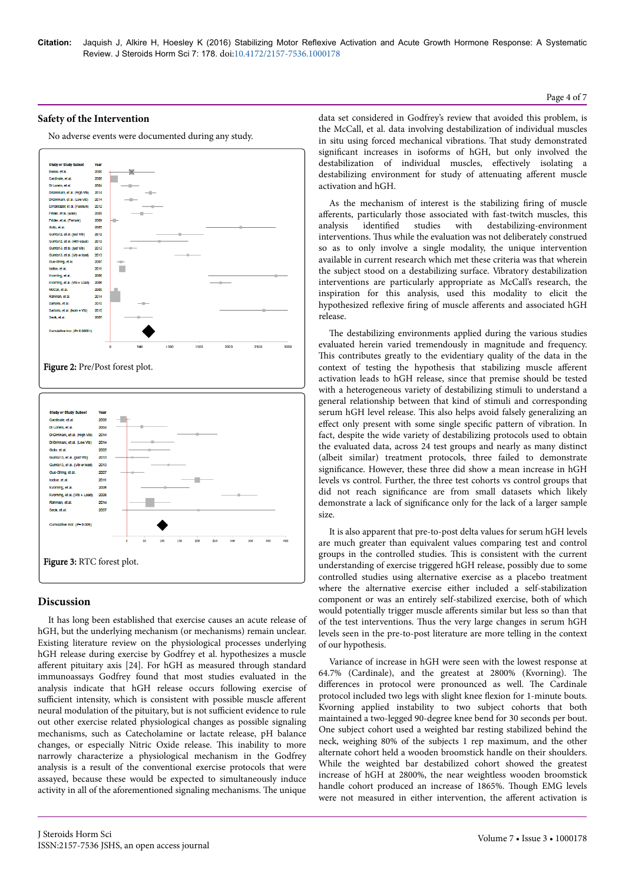#### **Safety of the Intervention**

No adverse events were documented during any study.



#### **Discussion**

It has long been established that exercise causes an acute release of hGH, but the underlying mechanism (or mechanisms) remain unclear. Existing literature review on the physiological processes underlying hGH release during exercise by Godfrey et al. hypothesizes a muscle afferent pituitary axis [24]. For hGH as measured through standard immunoassays Godfrey found that most studies evaluated in the analysis indicate that hGH release occurs following exercise of sufficient intensity, which is consistent with possible muscle afferent neural modulation of the pituitary, but is not sufficient evidence to rule out other exercise related physiological changes as possible signaling mechanisms, such as Catecholamine or lactate release, pH balance changes, or especially Nitric Oxide release. Нis inability to more narrowly characterize a physiological mechanism in the Godfrey analysis is a result of the conventional exercise protocols that were assayed, because these would be expected to simultaneously induce activity in all of the aforementioned signaling mechanisms. Нe unique

data set considered in Godfrey's review that avoided this problem, is the McCall, et al. data involving destabilization of individual muscles in situ using forced mechanical vibrations. Нat study demonstrated significant increases in isoforms of hGH, but only involved the destabilization of individual muscles, effectively isolating a destabilizing environment for study of attenuating afferent muscle activation and hGH.

As the mechanism of interest is the stabilizing firing of muscle afferents, particularly those associated with fast-twitch muscles, this analysis identified studies with destabilizing-environment interventions. Нus while the evaluation was not deliberately construed so as to only involve a single modality, the unique intervention available in current research which met these criteria was that wherein the subject stood on a destabilizing surface. Vibratory destabilization interventions are particularly appropriate as McCall's research, the inspiration for this analysis, used this modality to elicit the hypothesized reflexive firing of muscle afferents and associated hGH release.

The destabilizing environments applied during the various studies evaluated herein varied tremendously in magnitude and frequency. This contributes greatly to the evidentiary quality of the data in the context of testing the hypothesis that stabilizing muscle afferent activation leads to hGH release, since that premise should be tested with a heterogeneous variety of destabilizing stimuli to understand a general relationship between that kind of stimuli and corresponding serum hGH level release. Нis also helps avoid falsely generalizing an effect only present with some single specific pattern of vibration. In fact, despite the wide variety of destabilizing protocols used to obtain the evaluated data, across 24 test groups and nearly as many distinct (albeit similar) treatment protocols, three failed to demonstrate significance. However, these three did show a mean increase in hGH levels vs control. Further, the three test cohorts vs control groups that did not reach significance are from small datasets which likely demonstrate a lack of significance only for the lack of a larger sample size.

It is also apparent that pre-to-post delta values for serum hGH levels are much greater than equivalent values comparing test and control groups in the controlled studies. Нis is consistent with the current understanding of exercise triggered hGH release, possibly due to some controlled studies using alternative exercise as a placebo treatment where the alternative exercise either included a self-stabilization component or was an entirely self-stabilized exercise, both of which would potentially trigger muscle afferents similar but less so than that of the test interventions. Нus the very large changes in serum hGH levels seen in the pre-to-post literature are more telling in the context of our hypothesis.

Variance of increase in hGH were seen with the lowest response at 64.7% (Cardinale), and the greatest at 2800% (Kvorning). Нe differences in protocol were pronounced as well. The Cardinale protocol included two legs with slight knee flexion for 1-minute bouts. Kvorning applied instability to two subject cohorts that both maintained a two-legged 90-degree knee bend for 30 seconds per bout. One subject cohort used a weighted bar resting stabilized behind the neck, weighing 80% of the subjects 1 rep maximum, and the other alternate cohort held a wooden broomstick handle on their shoulders. While the weighted bar destabilized cohort showed the greatest increase of hGH at 2800%, the near weightless wooden broomstick handle cohort produced an increase of 1865%. Нough EMG levels were not measured in either intervention, the afferent activation is

#### Page 4 of 7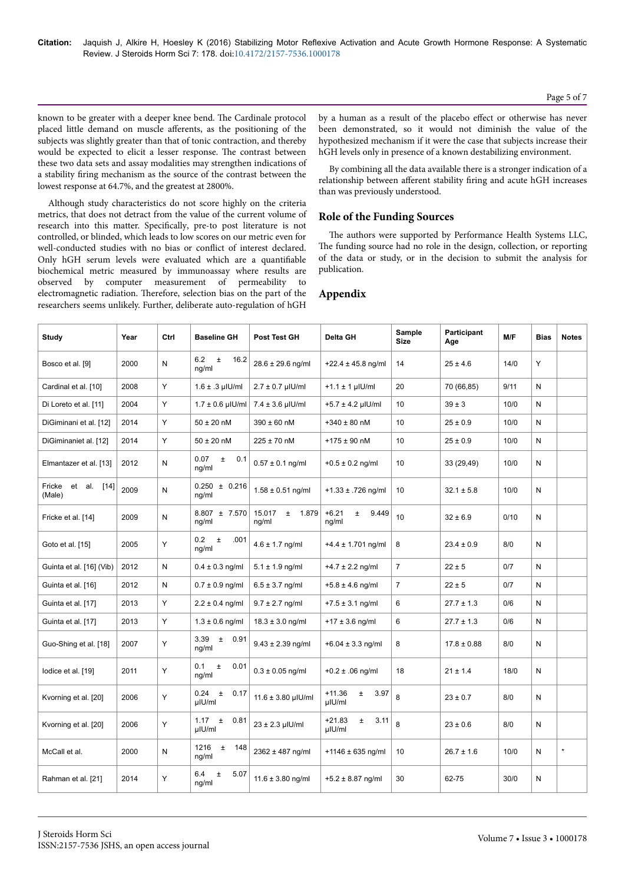known to be greater with a deeper knee bend. Нe Cardinale protocol placed little demand on muscle afferents, as the positioning of the subjects was slightly greater than that of tonic contraction, and thereby would be expected to elicit a lesser response. Нe contrast between these two data sets and assay modalities may strengthen indications of a stability firing mechanism as the source of the contrast between the lowest response at 64.7%, and the greatest at 2800%.

Although study characteristics do not score highly on the criteria metrics, that does not detract from the value of the current volume of research into this matter. Specifically, pre-to post literature is not controlled, or blinded, which leads to low scores on our metric even for well-conducted studies with no bias or conflict of interest declared. Only hGH serum levels were evaluated which are a quantifiable biochemical metric measured by immunoassay where results are observed by computer measurement of permeability to electromagnetic radiation. Therefore, selection bias on the part of the researchers seems unlikely. Further, deliberate auto-regulation of hGH

by a human as a result of the placebo effect or otherwise has never been demonstrated, so it would not diminish the value of the hypothesized mechanism if it were the case that subjects increase their hGH levels only in presence of a known destabilizing environment.

By combining all the data available there is a stronger indication of a relationship between afferent stability firing and acute hGH increases than was previously understood.

## **Role of the Funding Sources**

The authors were supported by Performance Health Systems LLC, The funding source had no role in the design, collection, or reporting of the data or study, or in the decision to submit the analysis for publication.

| Study                           | Year | Ctrl | <b>Baseline GH</b>                | <b>Post Test GH</b>               | Delta GH                            | Sample<br><b>Size</b> | Participant<br>Age | M/F  | <b>Bias</b> | <b>Notes</b> |
|---------------------------------|------|------|-----------------------------------|-----------------------------------|-------------------------------------|-----------------------|--------------------|------|-------------|--------------|
| Bosco et al. [9]                | 2000 | N    | 6.2<br>$\pm$<br>16.2<br>ng/ml     | 28.6 ± 29.6 ng/ml                 | +22.4 $\pm$ 45.8 ng/ml              | 14                    | $25 \pm 4.6$       | 14/0 | Y           |              |
| Cardinal et al. [10]            | 2008 | Υ    | $1.6 \pm .3$ µIU/ml               | $2.7 \pm 0.7$ µlU/ml              | $+1.1 \pm 1$ µlU/ml                 | 20                    | 70 (66,85)         | 9/11 | N           |              |
| Di Loreto et al. [11]           | 2004 | Y    | $1.7 \pm 0.6$ µlU/ml $ $          | $7.4 \pm 3.6$ µlU/ml              | $+5.7 \pm 4.2$ µlU/ml               | 10                    | $39 \pm 3$         | 10/0 | N           |              |
| DiGiminani et al. [12]          | 2014 | Y    | $50 \pm 20$ nM                    | 390 ± 60 nM                       | $+340 \pm 80$ nM                    | 10                    | $25 \pm 0.9$       | 10/0 | N           |              |
| DiGiminaniet al. [12]           | 2014 | Y    | $50 \pm 20$ nM                    | $225 \pm 70$ nM                   | $+175 \pm 90$ nM                    | 10                    | $25 \pm 0.9$       | 10/0 | N           |              |
| Elmantazer et al. [13]          | 2012 | N    | 0.07<br>Ŧ.<br>0.1<br>ng/ml        | $0.57 \pm 0.1$ ng/ml              | $+0.5 \pm 0.2$ ng/ml                | 10                    | 33 (29,49)         | 10/0 | N           |              |
| Fricke<br>et al. [14]<br>(Male) | 2009 | N    | $0.250 \pm 0.216$<br>ng/ml        | $1.58 \pm 0.51$ ng/ml             | +1.33 $\pm$ .726 ng/ml              | 10                    | $32.1 \pm 5.8$     | 10/0 | N           |              |
| Fricke et al. [14]              | 2009 | N    | $8.807 \pm 7.570$<br>ng/ml        | 15.017<br>1.879<br>$\pm$<br>ng/ml | $+6.21$<br>$\pm$<br>9.449<br>ng/ml  | 10                    | $32 \pm 6.9$       | 0/10 | N           |              |
| Goto et al. [15]                | 2005 | Υ    | $0.2\,$<br>$\pm$<br>.001<br>ng/ml | $4.6 \pm 1.7$ ng/ml               | $+4.4 \pm 1.701$ ng/ml              | 8                     | $23.4 \pm 0.9$     | 8/0  | N           |              |
| Guinta et al. [16] (Vib)        | 2012 | N    | $0.4 \pm 0.3$ ng/ml               | $5.1 \pm 1.9$ ng/ml               | $+4.7 \pm 2.2$ ng/ml                | $\overline{7}$        | $22 \pm 5$         | 0/7  | N           |              |
| Guinta et al. [16]              | 2012 | N    | $0.7 \pm 0.9$ ng/ml               | $6.5 \pm 3.7$ ng/ml               | $+5.8 \pm 4.6$ ng/ml                | $\overline{7}$        | $22 \pm 5$         | 0/7  | N           |              |
| Guinta et al. [17]              | 2013 | Y    | $2.2 \pm 0.4$ ng/ml               | $9.7 \pm 2.7$ ng/ml               | $+7.5 \pm 3.1$ ng/ml                | 6                     | $27.7 \pm 1.3$     | 0/6  | N           |              |
| Guinta et al. [17]              | 2013 | Υ    | $1.3 \pm 0.6$ ng/ml               | $18.3 \pm 3.0$ ng/ml              | $+17 \pm 3.6$ ng/ml                 | 6                     | $27.7 \pm 1.3$     | 0/6  | N           |              |
| Guo-Shing et al. [18]           | 2007 | Y    | 3.39<br>$\pm$ 0.91<br>ng/ml       | $9.43 \pm 2.39$ ng/ml             | $+6.04 \pm 3.3$ ng/ml               | 8                     | $17.8 \pm 0.88$    | 8/0  | N           |              |
| lodice et al. [19]              | 2011 | Υ    | 0.1<br>$\pm$<br>0.01<br>ng/ml     | $0.3 \pm 0.05$ ng/ml              | $+0.2 \pm .06$ ng/ml                | 18                    | $21 \pm 1.4$       | 18/0 | N           |              |
| Kvorning et al. [20]            | 2006 | Υ    | 0.24<br>$\pm$<br>0.17<br>µIU/ml   | $11.6 \pm 3.80$ µlU/ml            | $+11.36$<br>3.97<br>$\pm$<br>µIU/ml | 8                     | $23 \pm 0.7$       | 8/0  | N           |              |
| Kvorning et al. [20]            | 2006 | Y    | 1.17<br>0.81<br>$\pm$<br>µIU/ml   | $23 \pm 2.3$ µlU/ml               | $+21.83$<br>3.11<br>$\pm$<br>µIU/ml | 8                     | $23 \pm 0.6$       | 8/0  | N           |              |
| McCall et al.                   | 2000 | N    | 1216<br>$\pm$<br>148<br>ng/ml     | 2362 ± 487 ng/ml                  | +1146 $\pm$ 635 ng/ml               | 10                    | $26.7 \pm 1.6$     | 10/0 | N           | $\star$      |
| Rahman et al. [21]              | 2014 | Υ    | 6.4<br>5.07<br>$\pm$<br>ng/ml     | 11.6 $\pm$ 3.80 ng/ml             | $+5.2 \pm 8.87$ ng/ml               | 30                    | 62-75              | 30/0 | N           |              |

# **Appendix**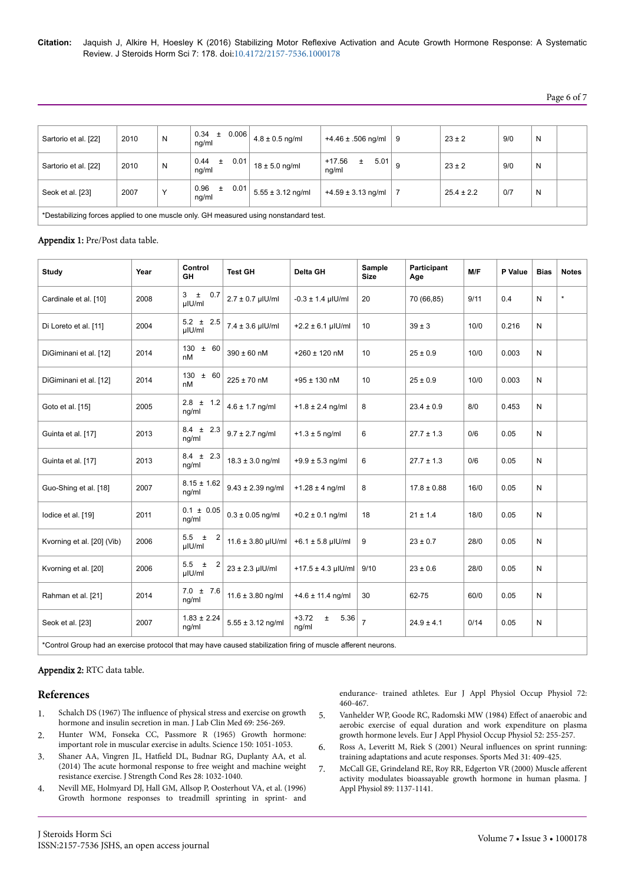# Page 6 of 7

| Sartorio et al. [22]                                                                  | 2010 | N | $0.34 \pm 0.006$<br>nq/ml |      | $4.8 \pm 0.5$ ng/ml   | +4.46 ± .506 ng/ml                   | 9 | $23 \pm 2$     | 9/0 | N |  |
|---------------------------------------------------------------------------------------|------|---|---------------------------|------|-----------------------|--------------------------------------|---|----------------|-----|---|--|
| Sartorio et al. [22]                                                                  | 2010 | N | 0.44<br>$\pm$<br>nq/ml    | 0.01 | $18 \pm 5.0$ ng/ml    | $5.01$ 9<br>+17.56<br>$\pm$<br>nq/ml |   | $23 \pm 2$     | 9/0 | N |  |
| Seok et al. [23]                                                                      | 2007 | Υ | 0.96<br>$\pm$<br>nq/ml    | 0.01 | $5.55 \pm 3.12$ ng/ml | $+4.59 \pm 3.13$ ng/ml               |   | $25.4 \pm 2.2$ | 0/7 | N |  |
| *Destabilizing forces applied to one muscle only. GH measured using nonstandard test. |      |   |                           |      |                       |                                      |   |                |     |   |  |

#### Appendix 1: Pre/Post data table.

| <b>Study</b>               | Year                                                                                                          | Control<br>GH               | <b>Test GH</b>         | Delta GH                          | Sample<br><b>Size</b> | Participant<br>Age | M/F  | P Value | <b>Bias</b> | <b>Notes</b> |  |  |
|----------------------------|---------------------------------------------------------------------------------------------------------------|-----------------------------|------------------------|-----------------------------------|-----------------------|--------------------|------|---------|-------------|--------------|--|--|
| Cardinale et al. [10]      | 2008                                                                                                          | $\pm$<br>0.7<br>3<br>µIU/ml | $2.7 \pm 0.7$ µlU/ml   | $-0.3 \pm 1.4$ µlU/ml             | 20                    | 70 (66,85)         | 9/11 | 0.4     | ${\sf N}$   |              |  |  |
| Di Loreto et al. [11]      | 2004                                                                                                          | $5.2 \pm 2.5$<br>µIU/ml     | $7.4 \pm 3.6$ µlU/ml   | $+2.2 \pm 6.1$ µlU/ml             | 10                    | $39 \pm 3$         | 10/0 | 0.216   | N           |              |  |  |
| DiGiminani et al. [12]     | 2014                                                                                                          | $130 \pm 60$<br>nM          | $390 \pm 60$ nM        | $+260 \pm 120$ nM                 | 10                    | $25 \pm 0.9$       | 10/0 | 0.003   | N           |              |  |  |
| DiGiminani et al. [12]     | 2014                                                                                                          | 130<br>± 60<br>nM           | $225 \pm 70$ nM        | $+95 \pm 130$ nM                  | 10                    | $25 \pm 0.9$       | 10/0 | 0.003   | N           |              |  |  |
| Goto et al. [15]           | 2005                                                                                                          | $2.8 \pm 1.2$<br>ng/ml      | $4.6 \pm 1.7$ ng/ml    | $+1.8 \pm 2.4$ ng/ml              | 8                     | $23.4 \pm 0.9$     | 8/0  | 0.453   | N           |              |  |  |
| Guinta et al. [17]         | 2013                                                                                                          | $8.4 \pm 2.3$<br>ng/ml      | $9.7 \pm 2.7$ ng/ml    | $+1.3 \pm 5$ ng/ml                | 6                     | $27.7 \pm 1.3$     | 0/6  | 0.05    | N           |              |  |  |
| Guinta et al. [17]         | 2013                                                                                                          | $8.4 \pm 2.3$<br>ng/ml      | $18.3 \pm 3.0$ ng/ml   | $+9.9 \pm 5.3$ ng/ml              | 6                     | $27.7 \pm 1.3$     | 0/6  | 0.05    | N           |              |  |  |
| Guo-Shing et al. [18]      | 2007                                                                                                          | $8.15 \pm 1.62$<br>ng/ml    | $9.43 \pm 2.39$ ng/ml  | $+1.28 \pm 4$ ng/ml               | 8                     | $17.8 \pm 0.88$    | 16/0 | 0.05    | N           |              |  |  |
| lodice et al. [19]         | 2011                                                                                                          | $0.1 \pm 0.05$<br>ng/ml     | $0.3 \pm 0.05$ ng/ml   | $+0.2 \pm 0.1$ ng/ml              | 18                    | $21 \pm 1.4$       | 18/0 | 0.05    | ${\sf N}$   |              |  |  |
| Kvorning et al. [20] (Vib) | 2006                                                                                                          | $5.5 \pm 2$<br>µIU/ml       | $11.6 \pm 3.80$ µlU/ml | +6.1 $\pm$ 5.8 µIU/ml             | 9                     | $23 \pm 0.7$       | 28/0 | 0.05    | N           |              |  |  |
| Kvorning et al. [20]       | 2006                                                                                                          | $5.5 \pm 2$<br>µIU/ml       | $23 \pm 2.3$ µlU/ml    | $+17.5 \pm 4.3$ µlU/ml            | 9/10                  | $23 \pm 0.6$       | 28/0 | 0.05    | N           |              |  |  |
| Rahman et al. [21]         | 2014                                                                                                          | $7.0 \pm 7.6$<br>ng/ml      | $11.6 \pm 3.80$ ng/ml  | $+4.6 \pm 11.4$ ng/ml             | 30                    | 62-75              | 60/0 | 0.05    | N           |              |  |  |
| Seok et al. [23]           | 2007                                                                                                          | $1.83 \pm 2.24$<br>ng/ml    | $5.55 \pm 3.12$ ng/ml  | $+3.72$<br>5.36<br>$\pm$<br>ng/ml | $\overline{7}$        | $24.9 \pm 4.1$     | 0/14 | 0.05    | N           |              |  |  |
|                            | *Control Group had an exercise protocol that may have caused stabilization firing of muscle afferent neurons. |                             |                        |                                   |                       |                    |      |         |             |              |  |  |

#### Appendix 2: RTC data table.

## **References**

- 1. Schalch DS (1967) Нe influence [of physical stress and exercise on growth](http://www.ncbi.nlm.nih.gov/pubmed/6016624) [hormone and insulin secretion in man. J Lab Clin Med 69: 256-269.](http://www.ncbi.nlm.nih.gov/pubmed/6016624)
- 2. [Hunter WM, Fonseka CC, Passmore R \(1965\) Growth hormone:](http://www.ncbi.nlm.nih.gov/pubmed/5843620) [important role in muscular exercise in adults. Science 150: 1051-1053.](http://www.ncbi.nlm.nih.gov/pubmed/5843620)
- 3. Shaner AA, Vingren JL, Hatfield [DL, Budnar RG, Duplanty AA, et al.](http://www.ncbi.nlm.nih.gov/pubmed/24276305) (2014) Нe [acute hormonal response to free weight and machine weight](http://www.ncbi.nlm.nih.gov/pubmed/24276305) [resistance exercise. J Strength Cond Res 28: 1032-1040.](http://www.ncbi.nlm.nih.gov/pubmed/24276305)
- 4. [Nevill ME, Holmyard DJ, Hall GM, Allsop P, Oosterhout VA, et al. \(1996\)](http://www.ncbi.nlm.nih.gov/pubmed/8925817) [Growth hormone responses to treadmill sprinting in sprint- and](http://www.ncbi.nlm.nih.gov/pubmed/8925817)

[endurance- trained athletes. Eur J Appl Physiol Occup Physiol 72:](http://www.ncbi.nlm.nih.gov/pubmed/8925817) [460-467.](http://www.ncbi.nlm.nih.gov/pubmed/8925817)

- 5. [Vanhelder WP, Goode RC, Radomski MW \(1984\)](http://www.ncbi.nlm.nih.gov/pubmed/6539675) Effect of anaerobic and [aerobic exercise of equal duration and work expenditure on plasma](http://www.ncbi.nlm.nih.gov/pubmed/6539675) [growth hormone levels. Eur J Appl Physiol Occup Physiol 52: 255-257.](http://www.ncbi.nlm.nih.gov/pubmed/6539675)
- 6. [Ross A, Leveritt M, Riek S \(2001\) Neural](http://www.ncbi.nlm.nih.gov/pubmed/11394561) influences on sprint running: [training adaptations and acute responses. Sports Med 31: 409-425.](http://www.ncbi.nlm.nih.gov/pubmed/11394561)
- 7. [McCall GE, Grindeland RE, Roy RR, Edgerton VR \(2000\) Muscle](http://www.ncbi.nlm.nih.gov/pubmed/10956361) afferent [activity modulates bioassayable growth hormone in human plasma. J](http://www.ncbi.nlm.nih.gov/pubmed/10956361) [Appl Physiol 89: 1137-1141.](http://www.ncbi.nlm.nih.gov/pubmed/10956361)